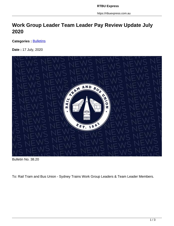https://rtbuexpress.com.au

## **Work Group Leader Team Leader Pay Review Update July 2020**

**Categories : [Bulletins](https://rtbuexpress.com.au/category/news/bulletins/)** 

**Date :** 17 July, 2020



Bulletin No. 38.20

To: Rail Tram and Bus Union - Sydney Trains Work Group Leaders & Team Leader Members.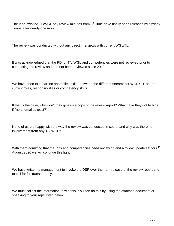The long-awaited TL/WGL pay review minutes from  $5<sup>th</sup>$  June have finally been released by Sydney Trains after nearly one month.

The review was conducted without any direct interviews with current WGL/TL.

It was acknowledged that the PD for T/L WGL and competencies were not reviewed prior to conducting the review and had not been reviewed since 2013

We have been told that "no anomalies exist" between the different streams for WGL / TL on the current roles, responsibilities or competency skills.

If that is the case, why won't they give us a copy of the review report? What have they got to hide if "no anomalies exist?"

None of us are happy with the way the review was conducted in secret and why was there no involvement from any TL/ WGL?

With them admitting that the PDs and competencies need reviewing and a follow update set for  $6<sup>th</sup>$ August 2020 we will continue this fight!

We have written to management to invoke the DSP over the non-release of the review report and to call for full transparency.

We must collect the information to win this! You can do this by using the attached document or speaking to your reps listed below.